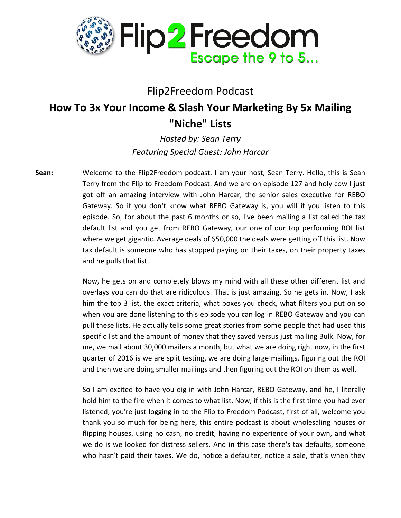

## Flip2Freedom Podcast

## **How To 3x Your Income & Slash Your Marketing By 5x Mailing "Niche" Lists**

*Hosted by: Sean Terry Featuring Special Guest: John Harcar*

**Sean:** Welcome to the Flip2Freedom podcast. I am your host, Sean Terry. Hello, this is Sean Terry from the Flip to Freedom Podcast. And we are on episode 127 and holy cow I just got off an amazing interview with John Harcar, the senior sales executive for REBO Gateway. So if you don't know what REBO Gateway is, you will if you listen to this episode. So, for about the past 6 months or so, I've been mailing a list called the tax default list and you get from REBO Gateway, our one of our top performing ROI list where we get gigantic. Average deals of \$50,000 the deals were getting off this list. Now tax default is someone who has stopped paying on their taxes, on their property taxes and he pulls that list.

> Now, he gets on and completely blows my mind with all these other different list and overlays you can do that are ridiculous. That is just amazing. So he gets in. Now, I ask him the top 3 list, the exact criteria, what boxes you check, what filters you put on so when you are done listening to this episode you can log in REBO Gateway and you can pull these lists. He actually tells some great stories from some people that had used this specific list and the amount of money that they saved versus just mailing Bulk. Now, for me, we mail about 30,000 mailers a month, but what we are doing right now, in the first quarter of 2016 is we are split testing, we are doing large mailings, figuring out the ROI and then we are doing smaller mailings and then figuring out the ROI on them as well.

> So I am excited to have you dig in with John Harcar, REBO Gateway, and he, I literally hold him to the fire when it comes to what list. Now, if this is the first time you had ever listened, you're just logging in to the Flip to Freedom Podcast, first of all, welcome you thank you so much for being here, this entire podcast is about wholesaling houses or flipping houses, using no cash, no credit, having no experience of your own, and what we do is we looked for distress sellers. And in this case there's tax defaults, someone who hasn't paid their taxes. We do, notice a defaulter, notice a sale, that's when they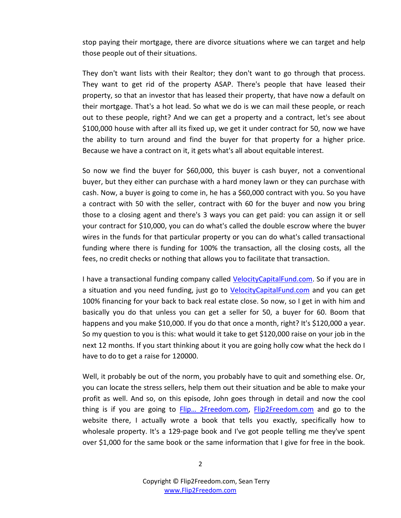stop paying their mortgage, there are divorce situations where we can target and help those people out of their situations.

They don't want lists with their Realtor; they don't want to go through that process. They want to get rid of the property ASAP. There's people that have leased their property, so that an investor that has leased their property, that have now a default on their mortgage. That's a hot lead. So what we do is we can mail these people, or reach out to these people, right? And we can get a property and a contract, let's see about \$100,000 house with after all its fixed up, we get it under contract for 50, now we have the ability to turn around and find the buyer for that property for a higher price. Because we have a contract on it, it gets what's all about equitable interest.

So now we find the buyer for \$60,000, this buyer is cash buyer, not a conventional buyer, but they either can purchase with a hard money lawn or they can purchase with cash. Now, a buyer is going to come in, he has a \$60,000 contract with you. So you have a contract with 50 with the seller, contract with 60 for the buyer and now you bring those to a closing agent and there's 3 ways you can get paid: you can assign it or sell your contract for \$10,000, you can do what's called the double escrow where the buyer wires in the funds for that particular property or you can do what's called transactional funding where there is funding for 100% the transaction, all the closing costs, all the fees, no credit checks or nothing that allows you to facilitate that transaction.

I have a transactional funding company called [VelocityCapitalFund.com.](http://velocitycapitalfund.com/) So if you are in a situation and you need funding, just go to [VelocityCapitalFund.com](http://velocitycapitalfund.com/) and you can get 100% financing for your back to back real estate close. So now, so I get in with him and basically you do that unless you can get a seller for 50, a buyer for 60. Boom that happens and you make \$10,000. If you do that once a month, right? It's \$120,000 a year. So my question to you is this: what would it take to get \$120,000 raise on your job in the next 12 months. If you start thinking about it you are going holly cow what the heck do I have to do to get a raise for 120000.

Well, it probably be out of the norm, you probably have to quit and something else. Or, you can locate the stress sellers, help them out their situation and be able to make your profit as well. And so, on this episode, John goes through in detail and now the cool thing is if you are going to Flip... 2Freedom.com, [Flip2Freedom.com](http://www.flip2freedom.com/) and go to the website there, I actually wrote a book that tells you exactly, specifically how to wholesale property. It's a 129-page book and I've got people telling me they've spent over \$1,000 for the same book or the same information that I give for free in the book.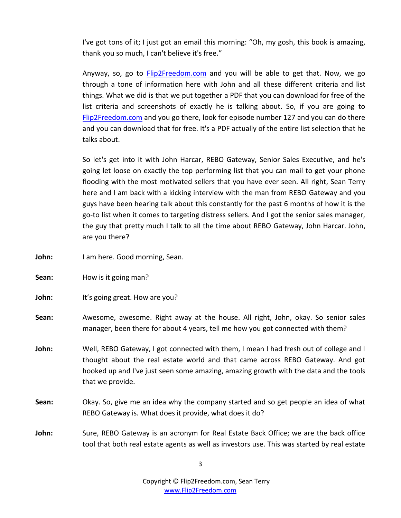I've got tons of it; I just got an email this morning: "Oh, my gosh, this book is amazing, thank you so much, I can't believe it's free."

Anyway, so, go to [Flip2Freedom.com](http://www.flip2freedom.com/) and you will be able to get that. Now, we go through a tone of information here with John and all these different criteria and list things. What we did is that we put together a PDF that you can download for free of the list criteria and screenshots of exactly he is talking about. So, if you are going to **[Flip2Freedom.com](http://www.flip2freedom.com/)** and you go there, look for episode number 127 and you can do there and you can download that for free. It's a PDF actually of the entire list selection that he talks about.

So let's get into it with John Harcar, REBO Gateway, Senior Sales Executive, and he's going let loose on exactly the top performing list that you can mail to get your phone flooding with the most motivated sellers that you have ever seen. All right, Sean Terry here and I am back with a kicking interview with the man from REBO Gateway and you guys have been hearing talk about this constantly for the past 6 months of how it is the go-to list when it comes to targeting distress sellers. And I got the senior sales manager, the guy that pretty much I talk to all the time about REBO Gateway, John Harcar. John, are you there?

**John:** I am here. Good morning, Sean.

**Sean:** How is it going man?

**John:** It's going great. How are you?

**Sean:** Awesome, awesome. Right away at the house. All right, John, okay. So senior sales manager, been there for about 4 years, tell me how you got connected with them?

- John: Well, REBO Gateway, I got connected with them, I mean I had fresh out of college and I thought about the real estate world and that came across REBO Gateway. And got hooked up and I've just seen some amazing, amazing growth with the data and the tools that we provide.
- **Sean:** Okay. So, give me an idea why the company started and so get people an idea of what REBO Gateway is. What does it provide, what does it do?
- **John:** Sure, REBO Gateway is an acronym for Real Estate Back Office; we are the back office tool that both real estate agents as well as investors use. This was started by real estate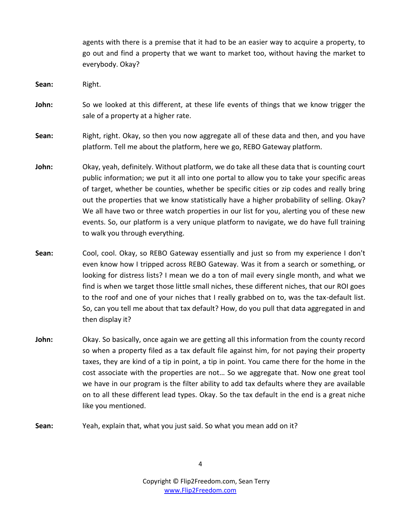agents with there is a premise that it had to be an easier way to acquire a property, to go out and find a property that we want to market too, without having the market to everybody. Okay?

**Sean:** Right.

**John:** So we looked at this different, at these life events of things that we know trigger the sale of a property at a higher rate.

**Sean:** Right, right. Okay, so then you now aggregate all of these data and then, and you have platform. Tell me about the platform, here we go, REBO Gateway platform.

- **John:** Okay, yeah, definitely. Without platform, we do take all these data that is counting court public information; we put it all into one portal to allow you to take your specific areas of target, whether be counties, whether be specific cities or zip codes and really bring out the properties that we know statistically have a higher probability of selling. Okay? We all have two or three watch properties in our list for you, alerting you of these new events. So, our platform is a very unique platform to navigate, we do have full training to walk you through everything.
- **Sean:** Cool, cool. Okay, so REBO Gateway essentially and just so from my experience I don't even know how I tripped across REBO Gateway. Was it from a search or something, or looking for distress lists? I mean we do a ton of mail every single month, and what we find is when we target those little small niches, these different niches, that our ROI goes to the roof and one of your niches that I really grabbed on to, was the tax-default list. So, can you tell me about that tax default? How, do you pull that data aggregated in and then display it?
- **John:** Okay. So basically, once again we are getting all this information from the county record so when a property filed as a tax default file against him, for not paying their property taxes, they are kind of a tip in point, a tip in point. You came there for the home in the cost associate with the properties are not… So we aggregate that. Now one great tool we have in our program is the filter ability to add tax defaults where they are available on to all these different lead types. Okay. So the tax default in the end is a great niche like you mentioned.
- **Sean:** Yeah, explain that, what you just said. So what you mean add on it?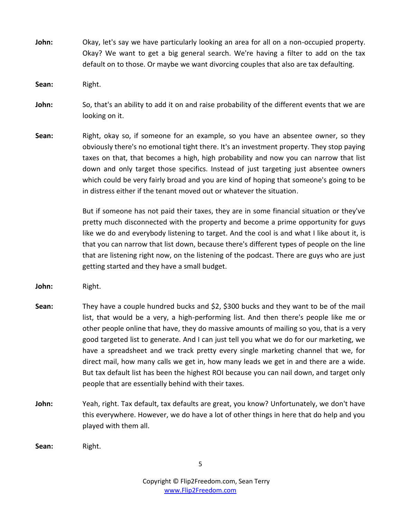**John:** Okay, let's say we have particularly looking an area for all on a non-occupied property. Okay? We want to get a big general search. We're having a filter to add on the tax default on to those. Or maybe we want divorcing couples that also are tax defaulting.

**Sean:** Right.

- John: So, that's an ability to add it on and raise probability of the different events that we are looking on it.
- **Sean:** Right, okay so, if someone for an example, so you have an absentee owner, so they obviously there's no emotional tight there. It's an investment property. They stop paying taxes on that, that becomes a high, high probability and now you can narrow that list down and only target those specifics. Instead of just targeting just absentee owners which could be very fairly broad and you are kind of hoping that someone's going to be in distress either if the tenant moved out or whatever the situation.

But if someone has not paid their taxes, they are in some financial situation or they've pretty much disconnected with the property and become a prime opportunity for guys like we do and everybody listening to target. And the cool is and what I like about it, is that you can narrow that list down, because there's different types of people on the line that are listening right now, on the listening of the podcast. There are guys who are just getting started and they have a small budget.

**John:** Right.

- **Sean:** They have a couple hundred bucks and \$2, \$300 bucks and they want to be of the mail list, that would be a very, a high-performing list. And then there's people like me or other people online that have, they do massive amounts of mailing so you, that is a very good targeted list to generate. And I can just tell you what we do for our marketing, we have a spreadsheet and we track pretty every single marketing channel that we, for direct mail, how many calls we get in, how many leads we get in and there are a wide. But tax default list has been the highest ROI because you can nail down, and target only people that are essentially behind with their taxes.
- **John:** Yeah, right. Tax default, tax defaults are great, you know? Unfortunately, we don't have this everywhere. However, we do have a lot of other things in here that do help and you played with them all.

**Sean:** Right.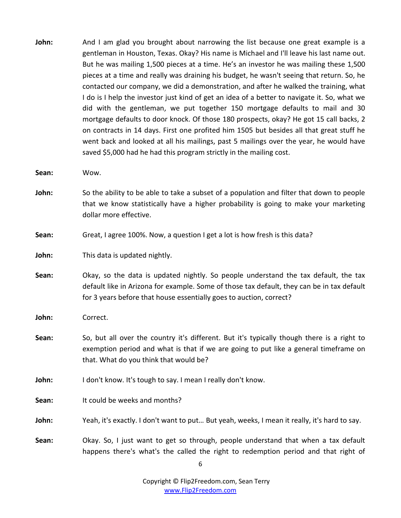**John:** And I am glad you brought about narrowing the list because one great example is a gentleman in Houston, Texas. Okay? His name is Michael and I'll leave his last name out. But he was mailing 1,500 pieces at a time. He's an investor he was mailing these 1,500 pieces at a time and really was draining his budget, he wasn't seeing that return. So, he contacted our company, we did a demonstration, and after he walked the training, what I do is I help the investor just kind of get an idea of a better to navigate it. So, what we did with the gentleman, we put together 150 mortgage defaults to mail and 30 mortgage defaults to door knock. Of those 180 prospects, okay? He got 15 call backs, 2 on contracts in 14 days. First one profited him 1505 but besides all that great stuff he went back and looked at all his mailings, past 5 mailings over the year, he would have saved \$5,000 had he had this program strictly in the mailing cost.

**Sean:** Wow.

**John:** So the ability to be able to take a subset of a population and filter that down to people that we know statistically have a higher probability is going to make your marketing dollar more effective.

**Sean:** Great, I agree 100%. Now, a question I get a lot is how fresh is this data?

**John:** This data is updated nightly.

- **Sean:** Okay, so the data is updated nightly. So people understand the tax default, the tax default like in Arizona for example. Some of those tax default, they can be in tax default for 3 years before that house essentially goes to auction, correct?
- **John:** Correct.
- **Sean:** So, but all over the country it's different. But it's typically though there is a right to exemption period and what is that if we are going to put like a general timeframe on that. What do you think that would be?
- John: I don't know. It's tough to say. I mean I really don't know.
- **Sean:** It could be weeks and months?
- John: Yeah, it's exactly. I don't want to put... But yeah, weeks, I mean it really, it's hard to say.
- **Sean:** Okay. So, I just want to get so through, people understand that when a tax default happens there's what's the called the right to redemption period and that right of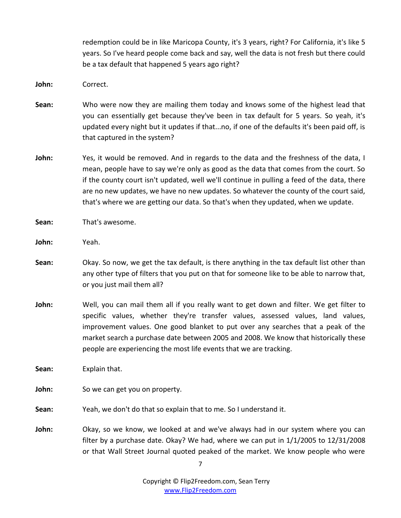redemption could be in like Maricopa County, it's 3 years, right? For California, it's like 5 years. So I've heard people come back and say, well the data is not fresh but there could be a tax default that happened 5 years ago right?

**John:** Correct.

- **Sean:** Who were now they are mailing them today and knows some of the highest lead that you can essentially get because they've been in tax default for 5 years. So yeah, it's updated every night but it updates if that...no, if one of the defaults it's been paid off, is that captured in the system?
- John: Yes, it would be removed. And in regards to the data and the freshness of the data, I mean, people have to say we're only as good as the data that comes from the court. So if the county court isn't updated, well we'll continue in pulling a feed of the data, there are no new updates, we have no new updates. So whatever the county of the court said, that's where we are getting our data. So that's when they updated, when we update.

**Sean:** That's awesome.

**John:** Yeah.

- **Sean:** Okay. So now, we get the tax default, is there anything in the tax default list other than any other type of filters that you put on that for someone like to be able to narrow that, or you just mail them all?
- **John:** Well, you can mail them all if you really want to get down and filter. We get filter to specific values, whether they're transfer values, assessed values, land values, improvement values. One good blanket to put over any searches that a peak of the market search a purchase date between 2005 and 2008. We know that historically these people are experiencing the most life events that we are tracking.

**Sean:** Explain that.

**John:** So we can get you on property.

**Sean:** Yeah, we don't do that so explain that to me. So I understand it.

**John:** Okay, so we know, we looked at and we've always had in our system where you can filter by a purchase date. Okay? We had, where we can put in 1/1/2005 to 12/31/2008 or that Wall Street Journal quoted peaked of the market. We know people who were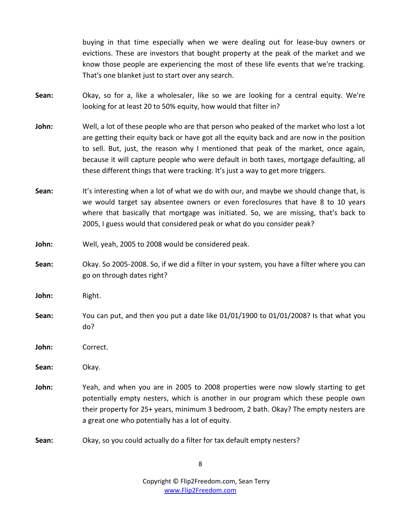buying in that time especially when we were dealing out for lease-buy owners or evictions. These are investors that bought property at the peak of the market and we know those people are experiencing the most of these life events that we're tracking. That's one blanket just to start over any search.

- **Sean:** Okay, so for a, like a wholesaler, like so we are looking for a central equity. We're looking for at least 20 to 50% equity, how would that filter in?
- **John:** Well, a lot of these people who are that person who peaked of the market who lost a lot are getting their equity back or have got all the equity back and are now in the position to sell. But, just, the reason why I mentioned that peak of the market, once again, because it will capture people who were default in both taxes, mortgage defaulting, all these different things that were tracking. It's just a way to get more triggers.
- **Sean:** It's interesting when a lot of what we do with our, and maybe we should change that, is we would target say absentee owners or even foreclosures that have 8 to 10 years where that basically that mortgage was initiated. So, we are missing, that's back to 2005, I guess would that considered peak or what do you consider peak?
- **John:** Well, yeah, 2005 to 2008 would be considered peak.
- **Sean:** Okay. So 2005-2008. So, if we did a filter in your system, you have a filter where you can go on through dates right?
- **John:** Right.
- **Sean:** You can put, and then you put a date like 01/01/1900 to 01/01/2008? Is that what you do?

**John:** Correct.

**Sean:** Okay.

- **John:** Yeah, and when you are in 2005 to 2008 properties were now slowly starting to get potentially empty nesters, which is another in our program which these people own their property for 25+ years, minimum 3 bedroom, 2 bath. Okay? The empty nesters are a great one who potentially has a lot of equity.
- **Sean:** Okay, so you could actually do a filter for tax default empty nesters?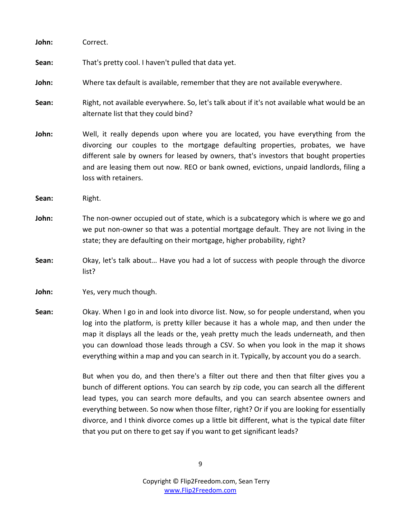| John: | Correct.                                                                                                                                                                                                                                                                                                                                                                                                                                                  |
|-------|-----------------------------------------------------------------------------------------------------------------------------------------------------------------------------------------------------------------------------------------------------------------------------------------------------------------------------------------------------------------------------------------------------------------------------------------------------------|
| Sean: | That's pretty cool. I haven't pulled that data yet.                                                                                                                                                                                                                                                                                                                                                                                                       |
| John: | Where tax default is available, remember that they are not available everywhere.                                                                                                                                                                                                                                                                                                                                                                          |
| Sean: | Right, not available everywhere. So, let's talk about if it's not available what would be an<br>alternate list that they could bind?                                                                                                                                                                                                                                                                                                                      |
| John: | Well, it really depends upon where you are located, you have everything from the<br>divorcing our couples to the mortgage defaulting properties, probates, we have<br>different sale by owners for leased by owners, that's investors that bought properties<br>and are leasing them out now. REO or bank owned, evictions, unpaid landlords, filing a<br>loss with retainers.                                                                            |
| Sean: | Right.                                                                                                                                                                                                                                                                                                                                                                                                                                                    |
| John: | The non-owner occupied out of state, which is a subcategory which is where we go and<br>we put non-owner so that was a potential mortgage default. They are not living in the<br>state; they are defaulting on their mortgage, higher probability, right?                                                                                                                                                                                                 |
| Sean: | Okay, let's talk about Have you had a lot of success with people through the divorce<br>list?                                                                                                                                                                                                                                                                                                                                                             |
| John: | Yes, very much though.                                                                                                                                                                                                                                                                                                                                                                                                                                    |
| Sean: | Okay. When I go in and look into divorce list. Now, so for people understand, when you<br>log into the platform, is pretty killer because it has a whole map, and then under the<br>map it displays all the leads or the, yeah pretty much the leads underneath, and then<br>you can download those leads through a CSV. So when you look in the map it shows<br>everything within a map and you can search in it. Typically, by account you do a search. |

But when you do, and then there's a filter out there and then that filter gives you a bunch of different options. You can search by zip code, you can search all the different lead types, you can search more defaults, and you can search absentee owners and everything between. So now when those filter, right? Or if you are looking for essentially divorce, and I think divorce comes up a little bit different, what is the typical date filter that you put on there to get say if you want to get significant leads?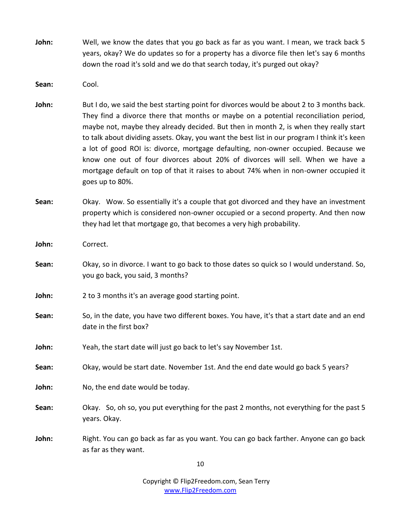- **John:** Well, we know the dates that you go back as far as you want. I mean, we track back 5 years, okay? We do updates so for a property has a divorce file then let's say 6 months down the road it's sold and we do that search today, it's purged out okay?
- **Sean:** Cool.
- John: But I do, we said the best starting point for divorces would be about 2 to 3 months back. They find a divorce there that months or maybe on a potential reconciliation period, maybe not, maybe they already decided. But then in month 2, is when they really start to talk about dividing assets. Okay, you want the best list in our program I think it's keen a lot of good ROI is: divorce, mortgage defaulting, non-owner occupied. Because we know one out of four divorces about 20% of divorces will sell. When we have a mortgage default on top of that it raises to about 74% when in non-owner occupied it goes up to 80%.
- **Sean:** Okay. Wow. So essentially it's a couple that got divorced and they have an investment property which is considered non-owner occupied or a second property. And then now they had let that mortgage go, that becomes a very high probability.
- **John:** Correct.
- **Sean:** Okay, so in divorce. I want to go back to those dates so quick so I would understand. So, you go back, you said, 3 months?
- **John:** 2 to 3 months it's an average good starting point.
- **Sean:** So, in the date, you have two different boxes. You have, it's that a start date and an end date in the first box?
- **John:** Yeah, the start date will just go back to let's say November 1st.
- **Sean:** Okay, would be start date. November 1st. And the end date would go back 5 years?
- **John:** No, the end date would be today.
- **Sean:** Okay. So, oh so, you put everything for the past 2 months, not everything for the past 5 years. Okay.
- **John:** Right. You can go back as far as you want. You can go back farther. Anyone can go back as far as they want.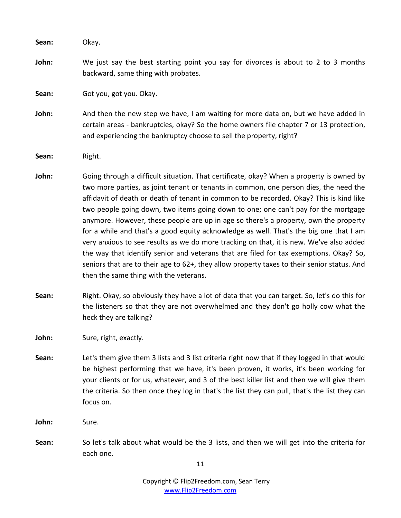**Sean:** Okay. **John:** We just say the best starting point you say for divorces is about to 2 to 3 months backward, same thing with probates. Sean: Got you, got you. Okay. **John:** And then the new step we have, I am waiting for more data on, but we have added in certain areas - bankruptcies, okay? So the home owners file chapter 7 or 13 protection, and experiencing the bankruptcy choose to sell the property, right? **Sean:** Right. **John:** Going through a difficult situation. That certificate, okay? When a property is owned by two more parties, as joint tenant or tenants in common, one person dies, the need the affidavit of death or death of tenant in common to be recorded. Okay? This is kind like

- two people going down, two items going down to one; one can't pay for the mortgage anymore. However, these people are up in age so there's a property, own the property for a while and that's a good equity acknowledge as well. That's the big one that I am very anxious to see results as we do more tracking on that, it is new. We've also added the way that identify senior and veterans that are filed for tax exemptions. Okay? So, seniors that are to their age to 62+, they allow property taxes to their senior status. And then the same thing with the veterans.
- **Sean:** Right. Okay, so obviously they have a lot of data that you can target. So, let's do this for the listeners so that they are not overwhelmed and they don't go holly cow what the heck they are talking?

John: Sure, right, exactly.

**Sean:** Let's them give them 3 lists and 3 list criteria right now that if they logged in that would be highest performing that we have, it's been proven, it works, it's been working for your clients or for us, whatever, and 3 of the best killer list and then we will give them the criteria. So then once they log in that's the list they can pull, that's the list they can focus on.

**John:** Sure.

**Sean:** So let's talk about what would be the 3 lists, and then we will get into the criteria for each one.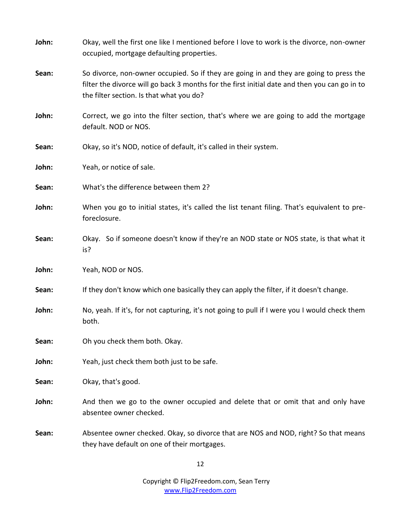| John: | Okay, well the first one like I mentioned before I love to work is the divorce, non-owner<br>occupied, mortgage defaulting properties.                                                                                               |
|-------|--------------------------------------------------------------------------------------------------------------------------------------------------------------------------------------------------------------------------------------|
| Sean: | So divorce, non-owner occupied. So if they are going in and they are going to press the<br>filter the divorce will go back 3 months for the first initial date and then you can go in to<br>the filter section. Is that what you do? |
| John: | Correct, we go into the filter section, that's where we are going to add the mortgage<br>default. NOD or NOS.                                                                                                                        |
| Sean: | Okay, so it's NOD, notice of default, it's called in their system.                                                                                                                                                                   |
| John: | Yeah, or notice of sale.                                                                                                                                                                                                             |
| Sean: | What's the difference between them 2?                                                                                                                                                                                                |
| John: | When you go to initial states, it's called the list tenant filing. That's equivalent to pre-<br>foreclosure.                                                                                                                         |
| Sean: | Okay. So if someone doesn't know if they're an NOD state or NOS state, is that what it<br>is?                                                                                                                                        |
| John: | Yeah, NOD or NOS.                                                                                                                                                                                                                    |
| Sean: | If they don't know which one basically they can apply the filter, if it doesn't change.                                                                                                                                              |
| John: | No, yeah. If it's, for not capturing, it's not going to pull if I were you I would check them<br>both.                                                                                                                               |
| Sean: | Oh you check them both. Okay.                                                                                                                                                                                                        |
| John: | Yeah, just check them both just to be safe.                                                                                                                                                                                          |
| Sean: | Okay, that's good.                                                                                                                                                                                                                   |
| John: | And then we go to the owner occupied and delete that or omit that and only have<br>absentee owner checked.                                                                                                                           |
| Sean: | Absentee owner checked. Okay, so divorce that are NOS and NOD, right? So that means<br>they have default on one of their mortgages.                                                                                                  |

12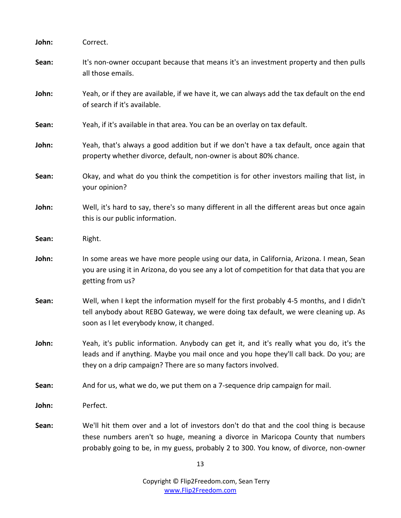| John: | Correct.                                                                                                                                                                                                                                                           |
|-------|--------------------------------------------------------------------------------------------------------------------------------------------------------------------------------------------------------------------------------------------------------------------|
| Sean: | It's non-owner occupant because that means it's an investment property and then pulls<br>all those emails.                                                                                                                                                         |
| John: | Yeah, or if they are available, if we have it, we can always add the tax default on the end<br>of search if it's available.                                                                                                                                        |
| Sean: | Yeah, if it's available in that area. You can be an overlay on tax default.                                                                                                                                                                                        |
| John: | Yeah, that's always a good addition but if we don't have a tax default, once again that<br>property whether divorce, default, non-owner is about 80% chance.                                                                                                       |
| Sean: | Okay, and what do you think the competition is for other investors mailing that list, in<br>your opinion?                                                                                                                                                          |
| John: | Well, it's hard to say, there's so many different in all the different areas but once again<br>this is our public information.                                                                                                                                     |
| Sean: | Right.                                                                                                                                                                                                                                                             |
| John: | In some areas we have more people using our data, in California, Arizona. I mean, Sean<br>you are using it in Arizona, do you see any a lot of competition for that data that you are<br>getting from us?                                                          |
| Sean: | Well, when I kept the information myself for the first probably 4-5 months, and I didn't<br>tell anybody about REBO Gateway, we were doing tax default, we were cleaning up. As<br>soon as I let everybody know, it changed.                                       |
| John: | Yeah, it's public information. Anybody can get it, and it's really what you do, it's the<br>leads and if anything. Maybe you mail once and you hope they'll call back. Do you; are<br>they on a drip campaign? There are so many factors involved.                 |
| Sean: | And for us, what we do, we put them on a 7-sequence drip campaign for mail.                                                                                                                                                                                        |
| John: | Perfect.                                                                                                                                                                                                                                                           |
| Sean: | We'll hit them over and a lot of investors don't do that and the cool thing is because<br>these numbers aren't so huge, meaning a divorce in Maricopa County that numbers<br>probably going to be, in my guess, probably 2 to 300. You know, of divorce, non-owner |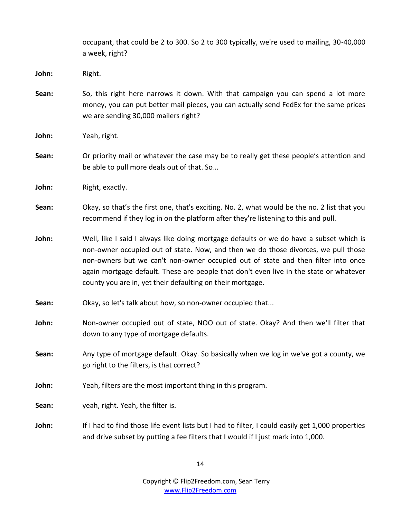occupant, that could be 2 to 300. So 2 to 300 typically, we're used to mailing, 30-40,000 a week, right? **John:** Right. Sean: So, this right here narrows it down. With that campaign you can spend a lot more money, you can put better mail pieces, you can actually send FedEx for the same prices we are sending 30,000 mailers right?

**John:** Yeah, right.

**Sean:** Or priority mail or whatever the case may be to really get these people's attention and be able to pull more deals out of that. So…

John: Right, exactly.

**Sean:** Okay, so that's the first one, that's exciting. No. 2, what would be the no. 2 list that you recommend if they log in on the platform after they're listening to this and pull.

- **John:** Well, like I said I always like doing mortgage defaults or we do have a subset which is non-owner occupied out of state. Now, and then we do those divorces, we pull those non-owners but we can't non-owner occupied out of state and then filter into once again mortgage default. These are people that don't even live in the state or whatever county you are in, yet their defaulting on their mortgage.
- **Sean:** Okay, so let's talk about how, so non-owner occupied that...
- **John:** Non-owner occupied out of state, NOO out of state. Okay? And then we'll filter that down to any type of mortgage defaults.
- **Sean:** Any type of mortgage default. Okay. So basically when we log in we've got a county, we go right to the filters, is that correct?
- **John:** Yeah, filters are the most important thing in this program.

**Sean:** yeah, right. Yeah, the filter is.

John: If I had to find those life event lists but I had to filter, I could easily get 1,000 properties and drive subset by putting a fee filters that I would if I just mark into 1,000.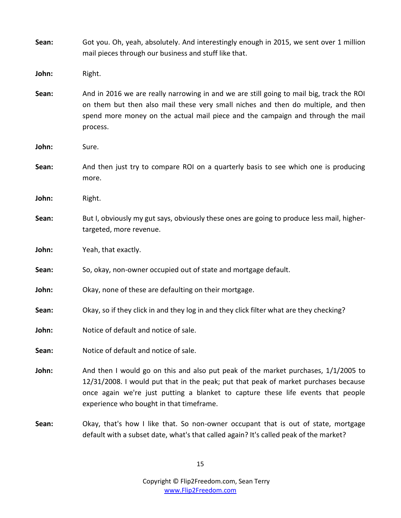| Sean: | Got you. Oh, yeah, absolutely. And interestingly enough in 2015, we sent over 1 million<br>mail pieces through our business and stuff like that.                                                                                                                                                          |
|-------|-----------------------------------------------------------------------------------------------------------------------------------------------------------------------------------------------------------------------------------------------------------------------------------------------------------|
| John: | Right.                                                                                                                                                                                                                                                                                                    |
| Sean: | And in 2016 we are really narrowing in and we are still going to mail big, track the ROI<br>on them but then also mail these very small niches and then do multiple, and then<br>spend more money on the actual mail piece and the campaign and through the mail<br>process.                              |
| John: | Sure.                                                                                                                                                                                                                                                                                                     |
| Sean: | And then just try to compare ROI on a quarterly basis to see which one is producing<br>more.                                                                                                                                                                                                              |
| John: | Right.                                                                                                                                                                                                                                                                                                    |
| Sean: | But I, obviously my gut says, obviously these ones are going to produce less mail, higher-<br>targeted, more revenue.                                                                                                                                                                                     |
| John: | Yeah, that exactly.                                                                                                                                                                                                                                                                                       |
| Sean: | So, okay, non-owner occupied out of state and mortgage default.                                                                                                                                                                                                                                           |
| John: | Okay, none of these are defaulting on their mortgage.                                                                                                                                                                                                                                                     |
| Sean: | Okay, so if they click in and they log in and they click filter what are they checking?                                                                                                                                                                                                                   |
| John: | Notice of default and notice of sale.                                                                                                                                                                                                                                                                     |
| Sean: | Notice of default and notice of sale.                                                                                                                                                                                                                                                                     |
| John: | And then I would go on this and also put peak of the market purchases, 1/1/2005 to<br>12/31/2008. I would put that in the peak; put that peak of market purchases because<br>once again we're just putting a blanket to capture these life events that people<br>experience who bought in that timeframe. |
| Sean: | Okay, that's how I like that. So non-owner occupant that is out of state, mortgage<br>default with a subset date, what's that called again? It's called peak of the market?                                                                                                                               |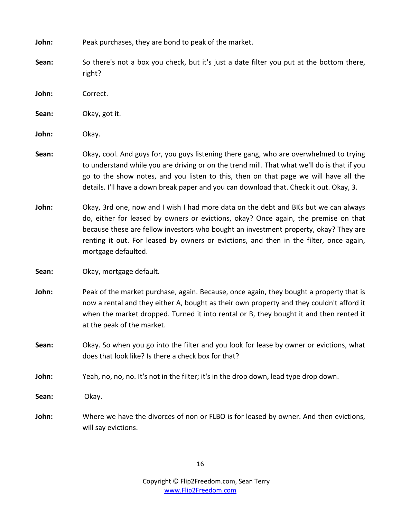**John:** Peak purchases, they are bond to peak of the market.

**Sean:** So there's not a box you check, but it's just a date filter you put at the bottom there, right?

**John:** Correct.

**Sean:** Okay, got it.

**John:** Okay.

- **Sean:** Okay, cool. And guys for, you guys listening there gang, who are overwhelmed to trying to understand while you are driving or on the trend mill. That what we'll do is that if you go to the show notes, and you listen to this, then on that page we will have all the details. I'll have a down break paper and you can download that. Check it out. Okay, 3.
- **John:** Okay, 3rd one, now and I wish I had more data on the debt and BKs but we can always do, either for leased by owners or evictions, okay? Once again, the premise on that because these are fellow investors who bought an investment property, okay? They are renting it out. For leased by owners or evictions, and then in the filter, once again, mortgage defaulted.

**Sean:** Okay, mortgage default.

- **John:** Peak of the market purchase, again. Because, once again, they bought a property that is now a rental and they either A, bought as their own property and they couldn't afford it when the market dropped. Turned it into rental or B, they bought it and then rented it at the peak of the market.
- **Sean:** Okay. So when you go into the filter and you look for lease by owner or evictions, what does that look like? Is there a check box for that?

**John:** Yeah, no, no, no. It's not in the filter; it's in the drop down, lead type drop down.

**Sean:** Okay.

**John:** Where we have the divorces of non or FLBO is for leased by owner. And then evictions, will say evictions.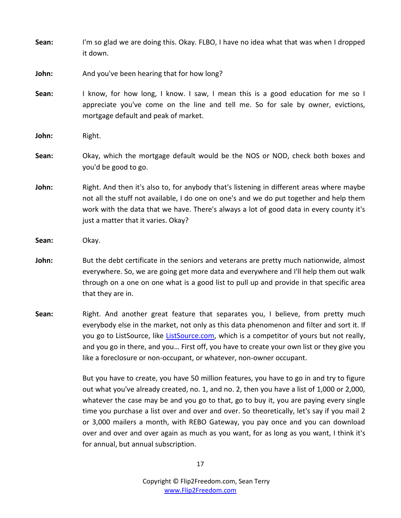| Sean: | I'm so glad we are doing this. Okay. FLBO, I have no idea what that was when I dropped<br>it down.                                                                                                                                                                                                                                                                                                                                                                                                                                                                                                   |
|-------|------------------------------------------------------------------------------------------------------------------------------------------------------------------------------------------------------------------------------------------------------------------------------------------------------------------------------------------------------------------------------------------------------------------------------------------------------------------------------------------------------------------------------------------------------------------------------------------------------|
| John: | And you've been hearing that for how long?                                                                                                                                                                                                                                                                                                                                                                                                                                                                                                                                                           |
| Sean: | I know, for how long, I know. I saw, I mean this is a good education for me so I<br>appreciate you've come on the line and tell me. So for sale by owner, evictions,<br>mortgage default and peak of market.                                                                                                                                                                                                                                                                                                                                                                                         |
| John: | Right.                                                                                                                                                                                                                                                                                                                                                                                                                                                                                                                                                                                               |
| Sean: | Okay, which the mortgage default would be the NOS or NOD, check both boxes and<br>you'd be good to go.                                                                                                                                                                                                                                                                                                                                                                                                                                                                                               |
| John: | Right. And then it's also to, for anybody that's listening in different areas where maybe<br>not all the stuff not available, I do one on one's and we do put together and help them<br>work with the data that we have. There's always a lot of good data in every county it's<br>just a matter that it varies. Okay?                                                                                                                                                                                                                                                                               |
| Sean: | Okay.                                                                                                                                                                                                                                                                                                                                                                                                                                                                                                                                                                                                |
| John: | But the debt certificate in the seniors and veterans are pretty much nationwide, almost<br>everywhere. So, we are going get more data and everywhere and I'll help them out walk<br>through on a one on one what is a good list to pull up and provide in that specific area<br>that they are in.                                                                                                                                                                                                                                                                                                    |
| Sean: | Right. And another great feature that separates you, I believe, from pretty much<br>everybody else in the market, not only as this data phenomenon and filter and sort it. If<br>you go to ListSource, like ListSource.com, which is a competitor of yours but not really,<br>and you go in there, and you First off, you have to create your own list or they give you<br>like a foreclosure or non-occupant, or whatever, non-owner occupant.                                                                                                                                                      |
|       | But you have to create, you have 50 million features, you have to go in and try to figure<br>out what you've already created, no. 1, and no. 2, then you have a list of 1,000 or 2,000,<br>whatever the case may be and you go to that, go to buy it, you are paying every single<br>time you purchase a list over and over and over. So theoretically, let's say if you mail 2<br>or 3,000 mailers a month, with REBO Gateway, you pay once and you can download<br>over and over and over again as much as you want, for as long as you want, I think it's<br>for annual, but annual subscription. |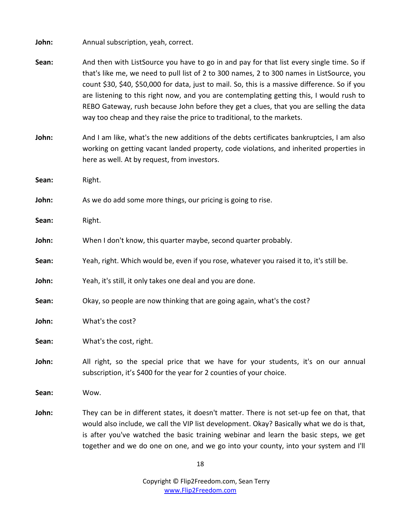John: Annual subscription, yeah, correct.

- **Sean:** And then with ListSource you have to go in and pay for that list every single time. So if that's like me, we need to pull list of 2 to 300 names, 2 to 300 names in ListSource, you count \$30, \$40, \$50,000 for data, just to mail. So, this is a massive difference. So if you are listening to this right now, and you are contemplating getting this, I would rush to REBO Gateway, rush because John before they get a clues, that you are selling the data way too cheap and they raise the price to traditional, to the markets.
- **John:** And I am like, what's the new additions of the debts certificates bankruptcies, I am also working on getting vacant landed property, code violations, and inherited properties in here as well. At by request, from investors.
- **Sean:** Right.

**John:** As we do add some more things, our pricing is going to rise.

- Sean: Right.
- **John:** When I don't know, this quarter maybe, second quarter probably.
- **Sean:** Yeah, right. Which would be, even if you rose, whatever you raised it to, it's still be.
- **John:** Yeah, it's still, it only takes one deal and you are done.
- **Sean:** Okay, so people are now thinking that are going again, what's the cost?
- **John:** What's the cost?
- **Sean:** What's the cost, right.
- John: All right, so the special price that we have for your students, it's on our annual subscription, it's \$400 for the year for 2 counties of your choice.
- **Sean:** Wow.
- **John:** They can be in different states, it doesn't matter. There is not set-up fee on that, that would also include, we call the VIP list development. Okay? Basically what we do is that, is after you've watched the basic training webinar and learn the basic steps, we get together and we do one on one, and we go into your county, into your system and I'll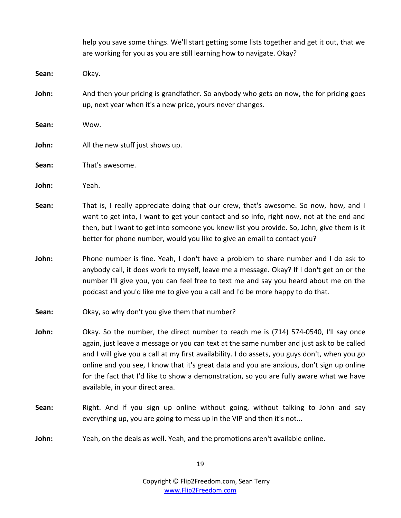|       | help you save some things. We'll start getting some lists together and get it out, that we<br>are working for you as you are still learning how to navigate. Okay?                                                                                                                                                                                                                                                                                                                                          |
|-------|-------------------------------------------------------------------------------------------------------------------------------------------------------------------------------------------------------------------------------------------------------------------------------------------------------------------------------------------------------------------------------------------------------------------------------------------------------------------------------------------------------------|
| Sean: | Okay.                                                                                                                                                                                                                                                                                                                                                                                                                                                                                                       |
| John: | And then your pricing is grandfather. So anybody who gets on now, the for pricing goes<br>up, next year when it's a new price, yours never changes.                                                                                                                                                                                                                                                                                                                                                         |
| Sean: | Wow.                                                                                                                                                                                                                                                                                                                                                                                                                                                                                                        |
| John: | All the new stuff just shows up.                                                                                                                                                                                                                                                                                                                                                                                                                                                                            |
| Sean: | That's awesome.                                                                                                                                                                                                                                                                                                                                                                                                                                                                                             |
| John: | Yeah.                                                                                                                                                                                                                                                                                                                                                                                                                                                                                                       |
| Sean: | That is, I really appreciate doing that our crew, that's awesome. So now, how, and I<br>want to get into, I want to get your contact and so info, right now, not at the end and<br>then, but I want to get into someone you knew list you provide. So, John, give them is it<br>better for phone number, would you like to give an email to contact you?                                                                                                                                                    |
| John: | Phone number is fine. Yeah, I don't have a problem to share number and I do ask to<br>anybody call, it does work to myself, leave me a message. Okay? If I don't get on or the<br>number I'll give you, you can feel free to text me and say you heard about me on the<br>podcast and you'd like me to give you a call and I'd be more happy to do that.                                                                                                                                                    |
| Sean: | Okay, so why don't you give them that number?                                                                                                                                                                                                                                                                                                                                                                                                                                                               |
| John: | Okay. So the number, the direct number to reach me is (714) 574-0540, I'll say once<br>again, just leave a message or you can text at the same number and just ask to be called<br>and I will give you a call at my first availability. I do assets, you guys don't, when you go<br>online and you see, I know that it's great data and you are anxious, don't sign up online<br>for the fact that I'd like to show a demonstration, so you are fully aware what we have<br>available, in your direct area. |
| Sean: | Right. And if you sign up online without going, without talking to John and say<br>everything up, you are going to mess up in the VIP and then it's not                                                                                                                                                                                                                                                                                                                                                     |
| John: | Yeah, on the deals as well. Yeah, and the promotions aren't available online.                                                                                                                                                                                                                                                                                                                                                                                                                               |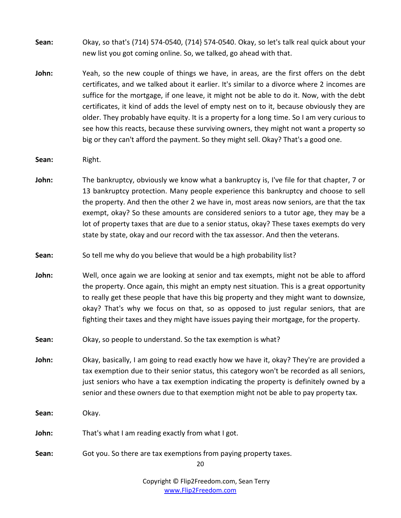- **Sean:** Okay, so that's (714) 574-0540, (714} 574-0540. Okay, so let's talk real quick about your new list you got coming online. So, we talked, go ahead with that.
- **John:** Yeah, so the new couple of things we have, in areas, are the first offers on the debt certificates, and we talked about it earlier. It's similar to a divorce where 2 incomes are suffice for the mortgage, if one leave, it might not be able to do it. Now, with the debt certificates, it kind of adds the level of empty nest on to it, because obviously they are older. They probably have equity. It is a property for a long time. So I am very curious to see how this reacts, because these surviving owners, they might not want a property so big or they can't afford the payment. So they might sell. Okay? That's a good one.
- Sean: Right.
- **John:** The bankruptcy, obviously we know what a bankruptcy is, I've file for that chapter, 7 or 13 bankruptcy protection. Many people experience this bankruptcy and choose to sell the property. And then the other 2 we have in, most areas now seniors, are that the tax exempt, okay? So these amounts are considered seniors to a tutor age, they may be a lot of property taxes that are due to a senior status, okay? These taxes exempts do very state by state, okay and our record with the tax assessor. And then the veterans.
- **Sean:** So tell me why do you believe that would be a high probability list?
- **John:** Well, once again we are looking at senior and tax exempts, might not be able to afford the property. Once again, this might an empty nest situation. This is a great opportunity to really get these people that have this big property and they might want to downsize, okay? That's why we focus on that, so as opposed to just regular seniors, that are fighting their taxes and they might have issues paying their mortgage, for the property.
- **Sean:** Okay, so people to understand. So the tax exemption is what?
- **John:** Okay, basically, I am going to read exactly how we have it, okay? They're are provided a tax exemption due to their senior status, this category won't be recorded as all seniors, just seniors who have a tax exemption indicating the property is definitely owned by a senior and these owners due to that exemption might not be able to pay property tax.
- **Sean:** Okay.
- **John:** That's what I am reading exactly from what I got.
- **Sean:** Got you. So there are tax exemptions from paying property taxes.

Copyright © Flip2Freedom.com, Sean Terry www.Flip2Freedom.com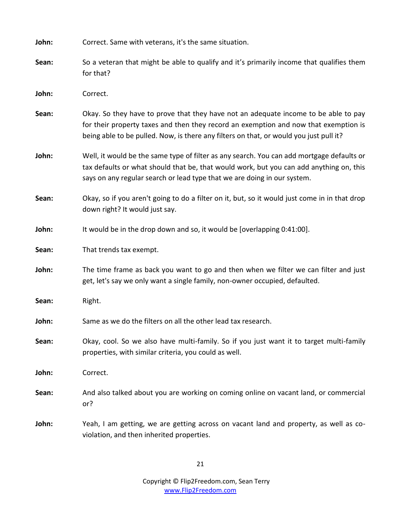| John: | Correct. Same with veterans, it's the same situation.                                                                                                                                                                                                                 |
|-------|-----------------------------------------------------------------------------------------------------------------------------------------------------------------------------------------------------------------------------------------------------------------------|
| Sean: | So a veteran that might be able to qualify and it's primarily income that qualifies them<br>for that?                                                                                                                                                                 |
| John: | Correct.                                                                                                                                                                                                                                                              |
| Sean: | Okay. So they have to prove that they have not an adequate income to be able to pay<br>for their property taxes and then they record an exemption and now that exemption is<br>being able to be pulled. Now, is there any filters on that, or would you just pull it? |
| John: | Well, it would be the same type of filter as any search. You can add mortgage defaults or<br>tax defaults or what should that be, that would work, but you can add anything on, this<br>says on any regular search or lead type that we are doing in our system.      |
| Sean: | Okay, so if you aren't going to do a filter on it, but, so it would just come in in that drop<br>down right? It would just say.                                                                                                                                       |
| John: | It would be in the drop down and so, it would be [overlapping 0:41:00].                                                                                                                                                                                               |
| Sean: | That trends tax exempt.                                                                                                                                                                                                                                               |
| John: | The time frame as back you want to go and then when we filter we can filter and just<br>get, let's say we only want a single family, non-owner occupied, defaulted.                                                                                                   |
| Sean: | Right.                                                                                                                                                                                                                                                                |
| John: | Same as we do the filters on all the other lead tax research.                                                                                                                                                                                                         |
| Sean: | Okay, cool. So we also have multi-family. So if you just want it to target multi-family<br>properties, with similar criteria, you could as well.                                                                                                                      |
| John: | Correct.                                                                                                                                                                                                                                                              |
| Sean: | And also talked about you are working on coming online on vacant land, or commercial<br>or?                                                                                                                                                                           |
| John: | Yeah, I am getting, we are getting across on vacant land and property, as well as co-<br>violation, and then inherited properties.                                                                                                                                    |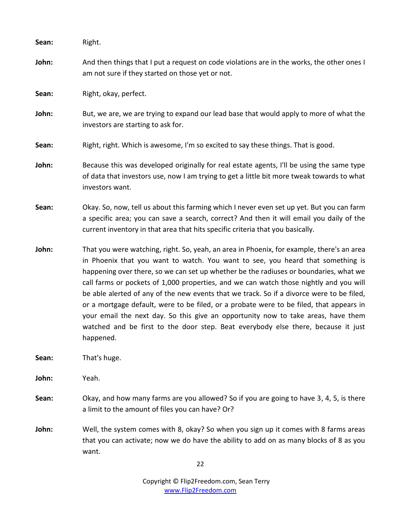| Sean: | Right.                                                                                                                                                                                                                                                                                                                                                                                                                                                                                                                                                                                                                                                                                                                                         |
|-------|------------------------------------------------------------------------------------------------------------------------------------------------------------------------------------------------------------------------------------------------------------------------------------------------------------------------------------------------------------------------------------------------------------------------------------------------------------------------------------------------------------------------------------------------------------------------------------------------------------------------------------------------------------------------------------------------------------------------------------------------|
| John: | And then things that I put a request on code violations are in the works, the other ones I<br>am not sure if they started on those yet or not.                                                                                                                                                                                                                                                                                                                                                                                                                                                                                                                                                                                                 |
| Sean: | Right, okay, perfect.                                                                                                                                                                                                                                                                                                                                                                                                                                                                                                                                                                                                                                                                                                                          |
| John: | But, we are, we are trying to expand our lead base that would apply to more of what the<br>investors are starting to ask for.                                                                                                                                                                                                                                                                                                                                                                                                                                                                                                                                                                                                                  |
| Sean: | Right, right. Which is awesome, I'm so excited to say these things. That is good.                                                                                                                                                                                                                                                                                                                                                                                                                                                                                                                                                                                                                                                              |
| John: | Because this was developed originally for real estate agents, I'll be using the same type<br>of data that investors use, now I am trying to get a little bit more tweak towards to what<br>investors want.                                                                                                                                                                                                                                                                                                                                                                                                                                                                                                                                     |
| Sean: | Okay. So, now, tell us about this farming which I never even set up yet. But you can farm<br>a specific area; you can save a search, correct? And then it will email you daily of the<br>current inventory in that area that hits specific criteria that you basically.                                                                                                                                                                                                                                                                                                                                                                                                                                                                        |
| John: | That you were watching, right. So, yeah, an area in Phoenix, for example, there's an area<br>in Phoenix that you want to watch. You want to see, you heard that something is<br>happening over there, so we can set up whether be the radiuses or boundaries, what we<br>call farms or pockets of 1,000 properties, and we can watch those nightly and you will<br>be able alerted of any of the new events that we track. So if a divorce were to be filed,<br>or a mortgage default, were to be filed, or a probate were to be filed, that appears in<br>your email the next day. So this give an opportunity now to take areas, have them<br>watched and be first to the door step. Beat everybody else there, because it just<br>happened. |
| Sean: | That's huge.                                                                                                                                                                                                                                                                                                                                                                                                                                                                                                                                                                                                                                                                                                                                   |
| John: | Yeah.                                                                                                                                                                                                                                                                                                                                                                                                                                                                                                                                                                                                                                                                                                                                          |
| Sean: | Okay, and how many farms are you allowed? So if you are going to have 3, 4, 5, is there<br>a limit to the amount of files you can have? Or?                                                                                                                                                                                                                                                                                                                                                                                                                                                                                                                                                                                                    |
| John: | Well, the system comes with 8, okay? So when you sign up it comes with 8 farms areas<br>that you can activate; now we do have the ability to add on as many blocks of 8 as you<br>want.<br>22                                                                                                                                                                                                                                                                                                                                                                                                                                                                                                                                                  |
|       |                                                                                                                                                                                                                                                                                                                                                                                                                                                                                                                                                                                                                                                                                                                                                |

Copyright © Flip2Freedom.com, Sean Terry www.Flip2Freedom.com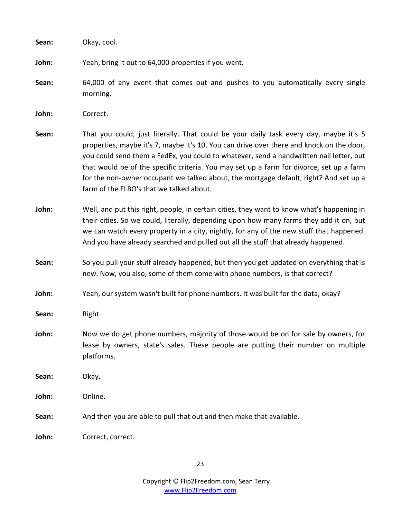| Sean: | Okay, cool.                                                                                                                                                                                                                                                                                                                                                                                                                                                                                                   |
|-------|---------------------------------------------------------------------------------------------------------------------------------------------------------------------------------------------------------------------------------------------------------------------------------------------------------------------------------------------------------------------------------------------------------------------------------------------------------------------------------------------------------------|
| John: | Yeah, bring it out to 64,000 properties if you want.                                                                                                                                                                                                                                                                                                                                                                                                                                                          |
| Sean: | 64,000 of any event that comes out and pushes to you automatically every single<br>morning.                                                                                                                                                                                                                                                                                                                                                                                                                   |
| John: | Correct.                                                                                                                                                                                                                                                                                                                                                                                                                                                                                                      |
| Sean: | That you could, just literally. That could be your daily task every day, maybe it's 5<br>properties, maybe it's 7, maybe it's 10. You can drive over there and knock on the door,<br>you could send them a FedEx, you could to whatever, send a handwritten nail letter, but<br>that would be of the specific criteria. You may set up a farm for divorce, set up a farm<br>for the non-owner occupant we talked about, the mortgage default, right? And set up a<br>farm of the FLBO's that we talked about. |
| John: | Well, and put this right, people, in certain cities, they want to know what's happening in<br>their cities. So we could, literally, depending upon how many farms they add it on, but<br>we can watch every property in a city, nightly, for any of the new stuff that happened.<br>And you have already searched and pulled out all the stuff that already happened.                                                                                                                                         |
| Sean: | So you pull your stuff already happened, but then you get updated on everything that is<br>new. Now, you also, some of them come with phone numbers, is that correct?                                                                                                                                                                                                                                                                                                                                         |
| John: | Yeah, our system wasn't built for phone numbers. It was built for the data, okay?                                                                                                                                                                                                                                                                                                                                                                                                                             |
| Sean: | Right.                                                                                                                                                                                                                                                                                                                                                                                                                                                                                                        |
| John: | Now we do get phone numbers, majority of those would be on for sale by owners, for<br>lease by owners, state's sales. These people are putting their number on multiple<br>platforms.                                                                                                                                                                                                                                                                                                                         |
| Sean: | Okay.                                                                                                                                                                                                                                                                                                                                                                                                                                                                                                         |
| John: | Online.                                                                                                                                                                                                                                                                                                                                                                                                                                                                                                       |
| Sean: | And then you are able to pull that out and then make that available.                                                                                                                                                                                                                                                                                                                                                                                                                                          |
| John: | Correct, correct.                                                                                                                                                                                                                                                                                                                                                                                                                                                                                             |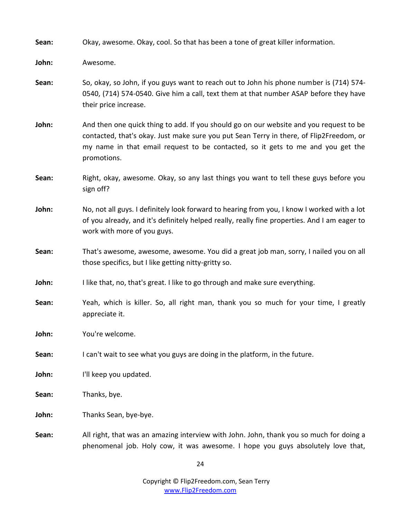**Sean:** Okay, awesome. Okay, cool. So that has been a tone of great killer information. **John:** Awesome. **Sean:** So, okay, so John, if you guys want to reach out to John his phone number is (714) 574- 0540, (714) 574-0540. Give him a call, text them at that number ASAP before they have their price increase. **John:** And then one quick thing to add. If you should go on our website and you request to be contacted, that's okay. Just make sure you put Sean Terry in there, of Flip2Freedom, or my name in that email request to be contacted, so it gets to me and you get the promotions. **Sean:** Right, okay, awesome. Okay, so any last things you want to tell these guys before you sign off? **John:** No, not all guys. I definitely look forward to hearing from you, I know I worked with a lot of you already, and it's definitely helped really, really fine properties. And I am eager to work with more of you guys. **Sean:** That's awesome, awesome, awesome. You did a great job man, sorry, I nailed you on all those specifics, but I like getting nitty-gritty so. **John:** I like that, no, that's great. I like to go through and make sure everything. **Sean:** Yeah, which is killer. So, all right man, thank you so much for your time, I greatly appreciate it. **John:** You're welcome. **Sean:** I can't wait to see what you guys are doing in the platform, in the future. John: I'll keep you updated. **Sean:** Thanks, bye. **John:** Thanks Sean, bye-bye. **Sean:** All right, that was an amazing interview with John. John, thank you so much for doing a phenomenal job. Holy cow, it was awesome. I hope you guys absolutely love that,